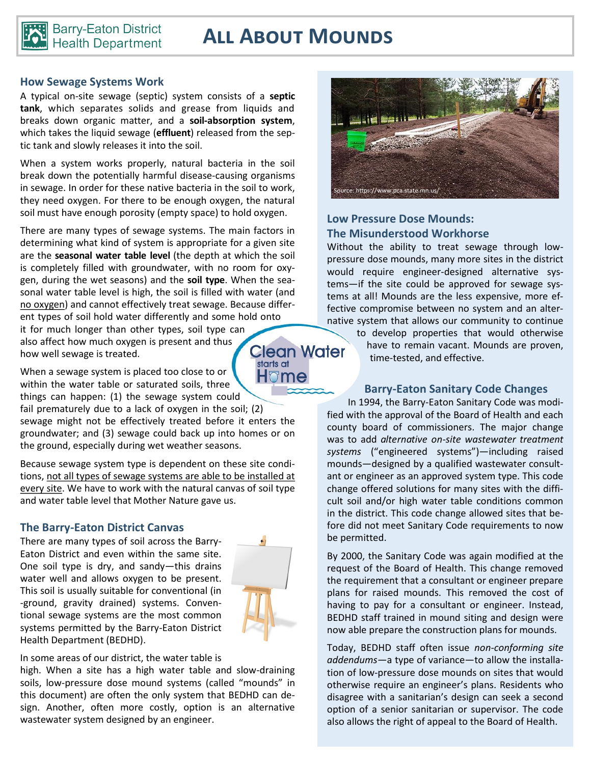

# **All About Mounds**

#### **How Sewage Systems Work**

A typical on-site sewage (septic) system consists of a **septic tank**, which separates solids and grease from liquids and breaks down organic matter, and a **soil-absorption system**, which takes the liquid sewage (**effluent**) released from the septic tank and slowly releases it into the soil.

When a system works properly, natural bacteria in the soil break down the potentially harmful disease-causing organisms in sewage. In order for these native bacteria in the soil to work, they need oxygen. For there to be enough oxygen, the natural soil must have enough porosity (empty space) to hold oxygen.

There are many types of sewage systems. The main factors in determining what kind of system is appropriate for a given site are the **seasonal water table level** (the depth at which the soil is completely filled with groundwater, with no room for oxygen, during the wet seasons) and the **soil type**. When the seasonal water table level is high, the soil is filled with water (and no oxygen) and cannot effectively treat sewage. Because different types of soil hold water differently and some hold onto it for much longer than other types, soil type can also affect how much oxygen is present and thus

**Clean Water** starts at H⊽me

When a sewage system is placed too close to or within the water table or saturated soils, three

how well sewage is treated.

things can happen: (1) the sewage system could fail prematurely due to a lack of oxygen in the soil; (2) sewage might not be effectively treated before it enters the groundwater; and (3) sewage could back up into homes or on the ground, especially during wet weather seasons.

Because sewage system type is dependent on these site conditions, not all types of sewage systems are able to be installed at every site. We have to work with the natural canvas of soil type and water table level that Mother Nature gave us.

### **The Barry-Eaton District Canvas**

There are many types of soil across the Barry-Eaton District and even within the same site. One soil type is dry, and sandy—this drains water well and allows oxygen to be present. This soil is usually suitable for conventional (in -ground, gravity drained) systems. Conventional sewage systems are the most common systems permitted by the Barry-Eaton District Health Department (BEDHD).



In some areas of our district, the water table is

high. When a site has a high water table and slow-draining soils, low-pressure dose mound systems (called "mounds" in this document) are often the only system that BEDHD can design. Another, often more costly, option is an alternative wastewater system designed by an engineer.



## **Low Pressure Dose Mounds: The Misunderstood Workhorse**

Without the ability to treat sewage through lowpressure dose mounds, many more sites in the district would require engineer-designed alternative systems—if the site could be approved for sewage systems at all! Mounds are the less expensive, more effective compromise between no system and an alternative system that allows our community to continue

> to develop properties that would otherwise have to remain vacant. Mounds are proven, time-tested, and effective.

### **Barry-Eaton Sanitary Code Changes**

In 1994, the Barry-Eaton Sanitary Code was modified with the approval of the Board of Health and each county board of commissioners. The major change was to add *alternative on-site wastewater treatment systems* ("engineered systems")—including raised mounds—designed by a qualified wastewater consultant or engineer as an approved system type. This code change offered solutions for many sites with the difficult soil and/or high water table conditions common in the district. This code change allowed sites that before did not meet Sanitary Code requirements to now be permitted.

By 2000, the Sanitary Code was again modified at the request of the Board of Health. This change removed the requirement that a consultant or engineer prepare plans for raised mounds. This removed the cost of having to pay for a consultant or engineer. Instead, BEDHD staff trained in mound siting and design were now able prepare the construction plans for mounds.

Today, BEDHD staff often issue *non-conforming site addendums*—a type of variance—to allow the installation of low-pressure dose mounds on sites that would otherwise require an engineer's plans. Residents who disagree with a sanitarian's design can seek a second option of a senior sanitarian or supervisor. The code also allows the right of appeal to the Board of Health.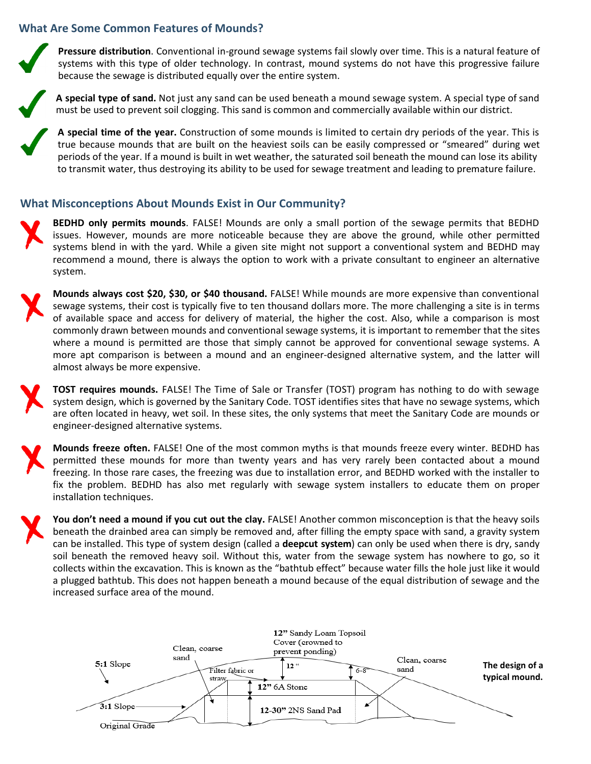### **What Are Some Common Features of Mounds?**

**Pressure distribution**. Conventional in-ground sewage systems fail slowly over time. This is a natural feature of systems with this type of older technology. In contrast, mound systems do not have this progressive failure because the sewage is distributed equally over the entire system.

**A special type of sand.** Not just any sand can be used beneath a mound sewage system. A special type of sand must be used to prevent soil clogging. This sand is common and commercially available within our district.

**A special time of the year.** Construction of some mounds is limited to certain dry periods of the year. This is true because mounds that are built on the heaviest soils can be easily compressed or "smeared" during wet periods of the year. If a mound is built in wet weather, the saturated soil beneath the mound can lose its ability to transmit water, thus destroying its ability to be used for sewage treatment and leading to premature failure.

#### **What Misconceptions About Mounds Exist in Our Community?**

**BEDHD only permits mounds**. FALSE! Mounds are only a small portion of the sewage permits that BEDHD issues. However, mounds are more noticeable because they are above the ground, while other permitted systems blend in with the yard. While a given site might not support a conventional system and BEDHD may recommend a mound, there is always the option to work with a private consultant to engineer an alternative system.

**Mounds always cost \$20, \$30, or \$40 thousand.** FALSE! While mounds are more expensive than conventional sewage systems, their cost is typically five to ten thousand dollars more. The more challenging a site is in terms of available space and access for delivery of material, the higher the cost. Also, while a comparison is most commonly drawn between mounds and conventional sewage systems, it is important to remember that the sites where a mound is permitted are those that simply cannot be approved for conventional sewage systems. A more apt comparison is between a mound and an engineer-designed alternative system, and the latter will almost always be more expensive.

**TOST requires mounds.** FALSE! The Time of Sale or Transfer (TOST) program has nothing to do with sewage system design, which is governed by the Sanitary Code. TOST identifies sites that have no sewage systems, which are often located in heavy, wet soil. In these sites, the only systems that meet the Sanitary Code are mounds or engineer-designed alternative systems.

**Mounds freeze often.** FALSE! One of the most common myths is that mounds freeze every winter. BEDHD has permitted these mounds for more than twenty years and has very rarely been contacted about a mound freezing. In those rare cases, the freezing was due to installation error, and BEDHD worked with the installer to fix the problem. BEDHD has also met regularly with sewage system installers to educate them on proper installation techniques.

**You don't need a mound if you cut out the clay.** FALSE! Another common misconception is that the heavy soils beneath the drainbed area can simply be removed and, after filling the empty space with sand, a gravity system can be installed. This type of system design (called a **deepcut system**) can only be used when there is dry, sandy soil beneath the removed heavy soil. Without this, water from the sewage system has nowhere to go, so it collects within the excavation. This is known as the "bathtub effect" because water fills the hole just like it would a plugged bathtub. This does not happen beneath a mound because of the equal distribution of sewage and the increased surface area of the mound.